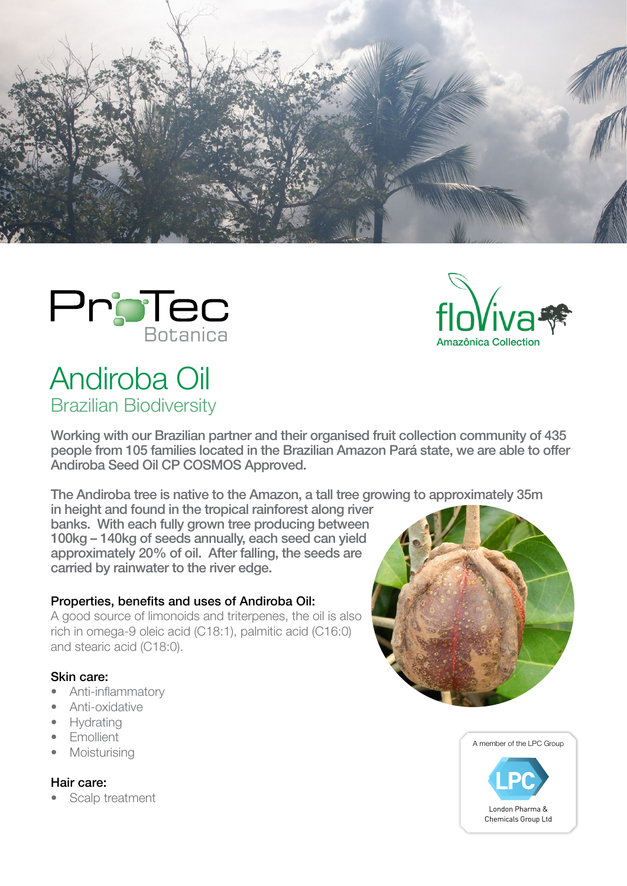





# Andiroba Oil Brazilian Biodiversity

Working with our Brazilian partner and their organised fruit collection community of 435 people from 105 families located in the Brazilian Amazon Pará state, we are able to offer Andiroba Seed Oil CP COSMOS Approved.

The Andiroba tree is native to the Amazon, a tall tree growing to approximately 35m

in height and found in the tropical rainforest along river banks. With each fully grown tree producing between 100kg – 140kg of seeds annually, each seed can yield approximately 20% of oil. After falling, the seeds are carried by rainwater to the river edge.

## Properties, benefits and uses of Andiroba Oil:

A good source of limonoids and triterpenes, the oil is also rich in omega-9 oleic acid (C18:1), palmitic acid (C16:0) and stearic acid (C18:0).

## Skin care:

- Anti-inflammatory
- Anti-oxidative
- Hydrating
- Emollient
- **Moisturising**

# Hair care:

Scalp treatment